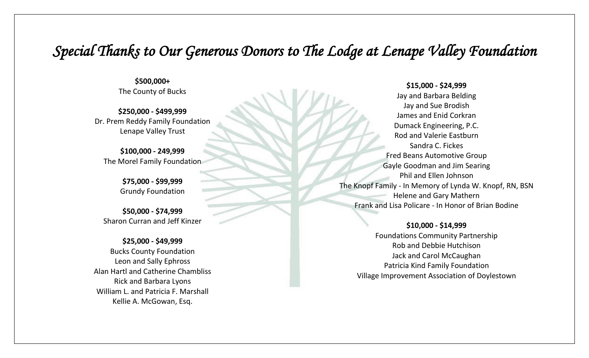## *Special Thanks to Our Generous Donors to The Lodge at Lenape Valley Foundation*

**\$500,000+** The County of Bucks

**\$250,000 - \$499,999** Dr. Prem Reddy Family Foundation Lenape Valley Trust

**\$100,000 - 249,999** The Morel Family Foundation

> **\$75,000 - \$99,999** Grundy Foundation

**\$50,000 - \$74,999** Sharon Curran and Jeff Kinzer

## **\$25,000 - \$49,999**

Bucks County Foundation Leon and Sally Ephross Alan Hartl and Catherine Chambliss Rick and Barbara Lyons William L. and Patricia F. Marshall Kellie A. McGowan, Esq.

**\$15,000 - \$24,999**

Jay and Barbara Belding Jay and Sue Brodish James and Enid Corkran Dumack Engineering, P.C. Rod and Valerie Eastburn Sandra C. Fickes Fred Beans Automotive Group Gayle Goodman and Jim Searing Phil and Ellen Johnson The Knopf Family - In Memory of Lynda W. Knopf, RN, BSN Helene and Gary Mathern Frank and Lisa Policare - In Honor of Brian Bodine

## **\$10,000 - \$14,999**

Foundations Community Partnership Rob and Debbie Hutchison Jack and Carol McCaughan Patricia Kind Family Foundation Village Improvement Association of Doylestown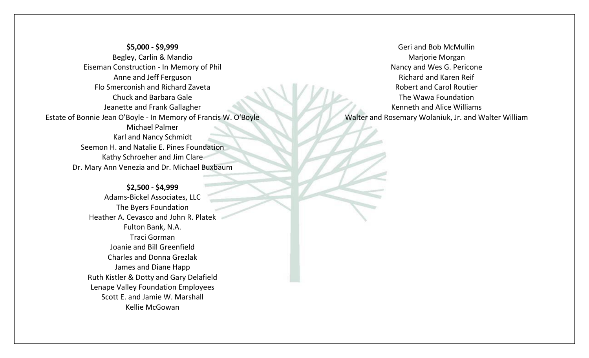**\$5,000 - \$9,999** Begley, Carlin & Mandio Eiseman Construction - In Memory of Phil Anne and Jeff Ferguson Flo Smerconish and Richard Zaveta Chuck and Barbara Gale Jeanette and Frank Gallagher Estate of Bonnie Jean O'Boyle - In Memory of Francis W. O'Boyle Michael Palmer Karl and Nancy Schmidt Seemon H. and Natalie E. Pines Foundation Kathy Schroeher and Jim Clare Dr. Mary Ann Venezia and Dr. Michael Buxbaum

> **\$2,500 - \$4,999** Adams-Bickel Associates, LLC The Byers Foundation Heather A. Cevasco and John R. Platek Fulton Bank, N.A. Traci Gorman Joanie and Bill Greenfield Charles and Donna Grezlak James and Diane Happ Ruth Kistler & Dotty and Gary Delafield Lenape Valley Foundation Employees Scott E. and Jamie W. Marshall Kellie McGowan

Geri and Bob McMullin Marjorie Morgan Nancy and Wes G. Pericone Richard and Karen Reif Robert and Carol Routier The Wawa Foundation Kenneth and Alice Williams Walter and Rosemary Wolaniuk, Jr. and Walter William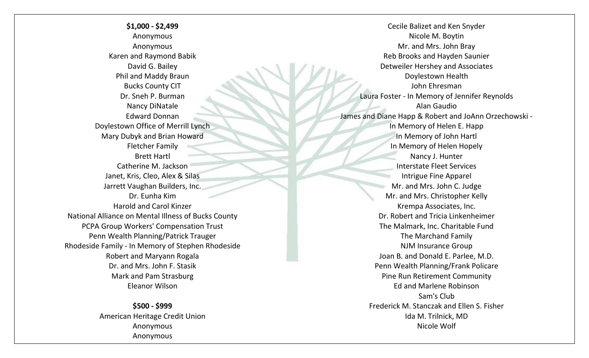**\$1,000 - \$2,499** Anonymous Anonymous Karen and Raymond Babik David G. Bailey Phil and Maddy Braun Bucks County CIT Dr. Sneh P. Burman Nancy DiNatale Edward Donnan Doylestown Office of Merrill Lynch Mary Dubyk and Brian Howard Fletcher Family Brett Hartl Catherine M. Jackson Janet, Kris, Cleo, Alex & Silas Jarrett Vaughan Builders, Inc. Dr. Eunha Kim Harold and Carol Kinzer National Alliance on Mental Illness of Bucks County PCPA Group Workers' Compensation Trust Penn Wealth Planning/Patrick Trauger Rhodeside Family - In Memory of Stephen Rhodeside Robert and Maryann Rogala Dr. and Mrs. John F. Stasik Mark and Pam Strasburg Eleanor Wilson

> **\$500 - \$999** American Heritage Credit Union Anonymous Anonymous

Cecile Balizet and Ken Snyder Nicole M. Boytin Mr. and Mrs. John Bray Reb Brooks and Hayden Saunier Detweiler Hershey and Associates Doylestown Health John Ehresman Laura Foster - In Memory of Jennifer Reynolds Alan Gaudio James and Diane Happ & Robert and JoAnn Orzechowski - In Memory of Helen E. Happ In Memory of John Hartl In Memory of Helen Hopely Nancy J. Hunter Interstate Fleet Services Intrigue Fine Apparel Mr. and Mrs. John C. Judge Mr. and Mrs. Christopher Kelly Krempa Associates, Inc. Dr. Robert and Tricia Linkenheimer The Malmark, Inc. Charitable Fund The Marchand Family NJM Insurance Group Joan B. and Donald E. Parlee, M.D. Penn Wealth Planning/Frank Policare Pine Run Retirement Community Ed and Marlene Robinson Sam's Club Frederick M. Stanczak and Ellen S. Fisher Ida M. Trilnick, MD Nicole Wolf